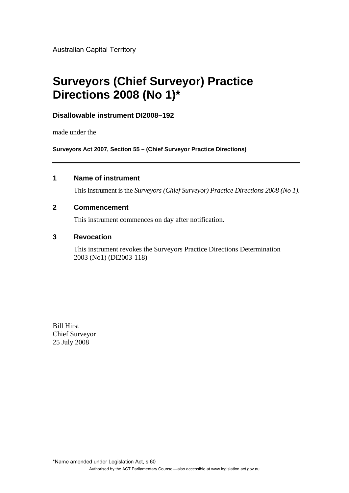Australian Capital Territory

# **Surveyors (Chief Surveyor) Practice Directions 2008 (No 1)\***

# **Disallowable instrument DI2008–192**

made under the

**Surveyors Act 2007, Section 55 – (Chief Surveyor Practice Directions)**

# **1 Name of instrument**

This instrument is the *Surveyors (Chief Surveyor) Practice Directions 2008 (No 1)*.

## **2 Commencement**

This instrument commences on day after notification.

# **3 Revocation**

This instrument revokes the Surveyors Practice Directions Determination 2003 (No1) (DI2003-118)

Bill Hirst Chief Surveyor 25 July 2008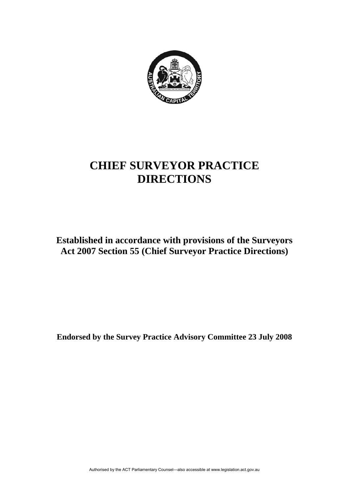

# **CHIEF SURVEYOR PRACTICE DIRECTIONS**

**Established in accordance with provisions of the Surveyors Act 2007 Section 55 (Chief Surveyor Practice Directions)** 

**Endorsed by the Survey Practice Advisory Committee 23 July 2008**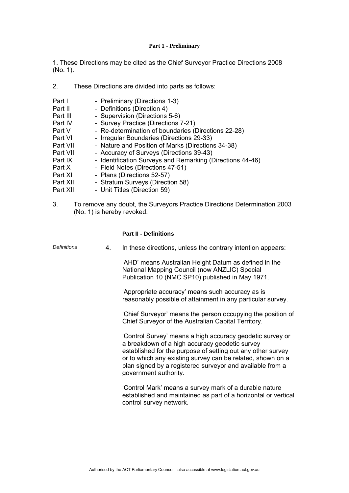## **Part 1 - Preliminary**

1. These Directions may be cited as the Chief Surveyor Practice Directions 2008 (No. 1).

- 2. These Directions are divided into parts as follows:
- Part I Preliminary (Directions 1-3) Part II - Definitions (Direction 4) Part III - Supervision (Directions 5-6) Part IV - Survey Practice (Directions 7-21) Part V - Re-determination of boundaries (Directions 22-28) Part VI - Irregular Boundaries (Directions 29-33)<br>
Part VII - Nature and Position of Marks (Direction<br>
Part VIII - Accuracy of Surveys (Directions 39-43) - Nature and Position of Marks (Directions 34-38) Part VIII - Accuracy of Surveys (Directions 39-43) Part IX - Identification Surveys and Remarking (Directions 44-46) Part X - Field Notes (Directions 47-51) Part XI - Plans (Directions 52-57) Part XII - Stratum Surveys (Direction 58)<br>Part XIII - Unit Titles (Direction 59) - Unit Titles (Direction 59)
- 3. To remove any doubt, the Surveyors Practice Directions Determination 2003 (No. 1) is hereby revoked.

## **Part II - Definitions**

| <b>Definitions</b> | 4. | In these directions, unless the contrary intention appears:                                                                                                                                                                                                                                                                    |
|--------------------|----|--------------------------------------------------------------------------------------------------------------------------------------------------------------------------------------------------------------------------------------------------------------------------------------------------------------------------------|
|                    |    | 'AHD' means Australian Height Datum as defined in the<br>National Mapping Council (now ANZLIC) Special<br>Publication 10 (NMC SP10) published in May 1971.                                                                                                                                                                     |
|                    |    | 'Appropriate accuracy' means such accuracy as is<br>reasonably possible of attainment in any particular survey.                                                                                                                                                                                                                |
|                    |    | 'Chief Surveyor' means the person occupying the position of<br>Chief Surveyor of the Australian Capital Territory.                                                                                                                                                                                                             |
|                    |    | 'Control Survey' means a high accuracy geodetic survey or<br>a breakdown of a high accuracy geodetic survey<br>established for the purpose of setting out any other survey<br>or to which any existing survey can be related, shown on a<br>plan signed by a registered surveyor and available from a<br>government authority. |
|                    |    | 'Control Mark' means a survey mark of a durable nature<br>established and maintained as part of a horizontal or vertical<br>control survey network.                                                                                                                                                                            |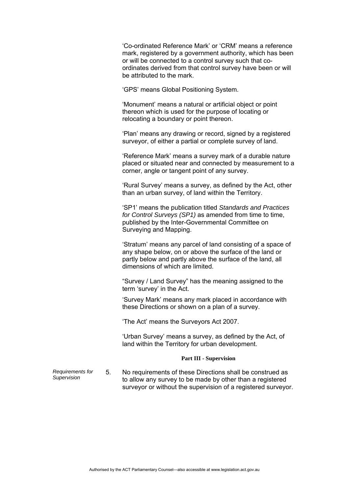'Co-ordinated Reference Mark' or 'CRM' means a reference mark, registered by a government authority, which has been or will be connected to a control survey such that coordinates derived from that control survey have been or will be attributed to the mark.

'GPS' means Global Positioning System.

 'Monument' means a natural or artificial object or point thereon which is used for the purpose of locating or relocating a boundary or point thereon.

 'Plan' means any drawing or record, signed by a registered surveyor, of either a partial or complete survey of land.

 'Reference Mark' means a survey mark of a durable nature placed or situated near and connected by measurement to a corner, angle or tangent point of any survey.

 'Rural Survey' means a survey, as defined by the Act, other than an urban survey, of land within the Territory.

 'SP1' means the publication titled *Standards and Practices for Control Surveys (SP1)* as amended from time to time, published by the Inter-Governmental Committee on Surveying and Mapping.

 'Stratum' means any parcel of land consisting of a space of any shape below, on or above the surface of the land or partly below and partly above the surface of the land, all dimensions of which are limited.

 "Survey / Land Survey" has the meaning assigned to the term 'survey' in the Act.

 'Survey Mark' means any mark placed in accordance with these Directions or shown on a plan of a survey.

'The Act' means the Surveyors Act 2007.

 'Urban Survey' means a survey, as defined by the Act, of land within the Territory for urban development.

## **Part III - Supervision**

*Requirements for Supervision* 5. No requirements of these Directions shall be construed as to allow any survey to be made by other than a registered surveyor or without the supervision of a registered surveyor.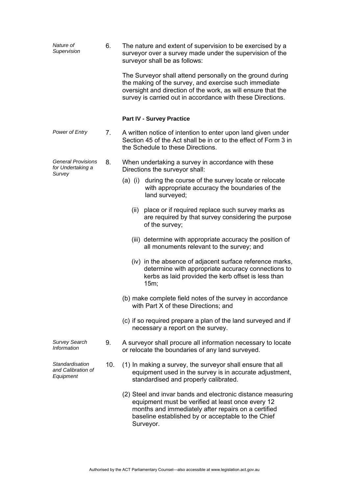| Nature of<br>Supervision                                 | 6.  | The nature and extent of supervision to be exercised by a<br>surveyor over a survey made under the supervision of the<br>surveyor shall be as follows:                                                                                           |
|----------------------------------------------------------|-----|--------------------------------------------------------------------------------------------------------------------------------------------------------------------------------------------------------------------------------------------------|
|                                                          |     | The Surveyor shall attend personally on the ground during<br>the making of the survey, and exercise such immediate<br>oversight and direction of the work, as will ensure that the<br>survey is carried out in accordance with these Directions. |
|                                                          |     | <b>Part IV - Survey Practice</b>                                                                                                                                                                                                                 |
| Power of Entry                                           | 7.  | A written notice of intention to enter upon land given under<br>Section 45 of the Act shall be in or to the effect of Form 3 in<br>the Schedule to these Directions.                                                                             |
| <b>General Provisions</b><br>for Undertaking a<br>Survey | 8.  | When undertaking a survey in accordance with these<br>Directions the surveyor shall:                                                                                                                                                             |
|                                                          |     | during the course of the survey locate or relocate<br>(a) (i)<br>with appropriate accuracy the boundaries of the<br>land surveyed;                                                                                                               |
|                                                          |     | place or if required replace such survey marks as<br>(ii)<br>are required by that survey considering the purpose<br>of the survey;                                                                                                               |
|                                                          |     | (iii) determine with appropriate accuracy the position of<br>all monuments relevant to the survey; and                                                                                                                                           |
|                                                          |     | (iv) in the absence of adjacent surface reference marks,<br>determine with appropriate accuracy connections to<br>kerbs as laid provided the kerb offset is less than<br>15m;                                                                    |
|                                                          |     | (b) make complete field notes of the survey in accordance<br>with Part X of these Directions; and                                                                                                                                                |
|                                                          |     | (c) if so required prepare a plan of the land surveyed and if<br>necessary a report on the survey.                                                                                                                                               |
| <b>Survey Search</b><br>Information                      | 9.  | A surveyor shall procure all information necessary to locate<br>or relocate the boundaries of any land surveyed.                                                                                                                                 |
| Standardisation<br>and Calibration of<br>Equipment       | 10. | (1) In making a survey, the surveyor shall ensure that all<br>equipment used in the survey is in accurate adjustment,<br>standardised and properly calibrated.                                                                                   |
|                                                          |     | (2) Steel and invar bands and electronic distance measuring<br>equipment must be verified at least once every 12<br>months and immediately after repairs on a certified<br>baseline established by or acceptable to the Chief<br>Surveyor.       |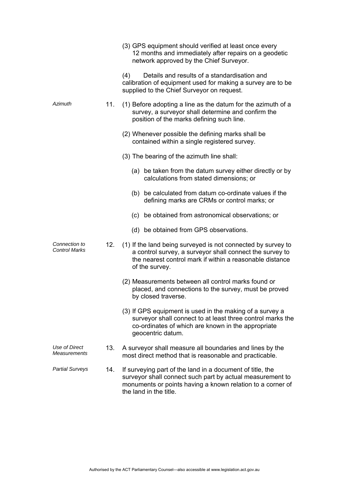|                                |     | (3) GPS equipment should verified at least once every<br>12 months and immediately after repairs on a geodetic<br>network approved by the Chief Surveyor.                                                      |
|--------------------------------|-----|----------------------------------------------------------------------------------------------------------------------------------------------------------------------------------------------------------------|
|                                |     | Details and results of a standardisation and<br>(4)<br>calibration of equipment used for making a survey are to be<br>supplied to the Chief Surveyor on request.                                               |
| Azimuth                        | 11. | (1) Before adopting a line as the datum for the azimuth of a<br>survey, a surveyor shall determine and confirm the<br>position of the marks defining such line.                                                |
|                                |     | (2) Whenever possible the defining marks shall be<br>contained within a single registered survey.                                                                                                              |
|                                |     | (3) The bearing of the azimuth line shall:                                                                                                                                                                     |
|                                |     | (a) be taken from the datum survey either directly or by<br>calculations from stated dimensions; or                                                                                                            |
|                                |     | (b) be calculated from datum co-ordinate values if the<br>defining marks are CRMs or control marks; or                                                                                                         |
|                                |     | (c) be obtained from astronomical observations; or                                                                                                                                                             |
|                                |     | (d) be obtained from GPS observations.                                                                                                                                                                         |
| Connection to<br>Control Marks | 12. | (1) If the land being surveyed is not connected by survey to<br>a control survey, a surveyor shall connect the survey to<br>the nearest control mark if within a reasonable distance<br>of the survey.         |
|                                |     | (2) Measurements between all control marks found or<br>placed, and connections to the survey, must be proved<br>by closed traverse.                                                                            |
|                                |     | (3) If GPS equipment is used in the making of a survey a<br>surveyor shall connect to at least three control marks the<br>co-ordinates of which are known in the appropriate<br>geocentric datum.              |
| Use of Direct<br>Measurements  | 13. | A surveyor shall measure all boundaries and lines by the<br>most direct method that is reasonable and practicable.                                                                                             |
| <b>Partial Surveys</b>         | 14. | If surveying part of the land in a document of title, the<br>surveyor shall connect such part by actual measurement to<br>monuments or points having a known relation to a corner of<br>the land in the title. |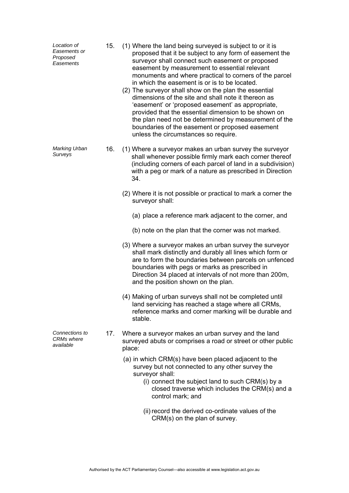| Location of<br>Easements or<br>Proposed<br>Easements | 15. | (1) Where the land being surveyed is subject to or it is<br>proposed that it be subject to any form of easement the<br>surveyor shall connect such easement or proposed<br>easement by measurement to essential relevant<br>monuments and where practical to corners of the parcel<br>in which the easement is or is to be located.<br>(2) The surveyor shall show on the plan the essential<br>dimensions of the site and shall note it thereon as<br>'easement' or 'proposed easement' as appropriate,<br>provided that the essential dimension to be shown on<br>the plan need not be determined by measurement of the<br>boundaries of the easement or proposed easement<br>unless the circumstances so require. |
|------------------------------------------------------|-----|----------------------------------------------------------------------------------------------------------------------------------------------------------------------------------------------------------------------------------------------------------------------------------------------------------------------------------------------------------------------------------------------------------------------------------------------------------------------------------------------------------------------------------------------------------------------------------------------------------------------------------------------------------------------------------------------------------------------|
| Marking Urban<br>Surveys                             | 16. | (1) Where a surveyor makes an urban survey the surveyor<br>shall whenever possible firmly mark each corner thereof<br>(including corners of each parcel of land in a subdivision)<br>with a peg or mark of a nature as prescribed in Direction<br>34.                                                                                                                                                                                                                                                                                                                                                                                                                                                                |
|                                                      |     | (2) Where it is not possible or practical to mark a corner the<br>surveyor shall:                                                                                                                                                                                                                                                                                                                                                                                                                                                                                                                                                                                                                                    |
|                                                      |     | (a) place a reference mark adjacent to the corner, and                                                                                                                                                                                                                                                                                                                                                                                                                                                                                                                                                                                                                                                               |
|                                                      |     | (b) note on the plan that the corner was not marked.                                                                                                                                                                                                                                                                                                                                                                                                                                                                                                                                                                                                                                                                 |
|                                                      |     | (3) Where a surveyor makes an urban survey the surveyor<br>shall mark distinctly and durably all lines which form or<br>are to form the boundaries between parcels on unfenced<br>boundaries with pegs or marks as prescribed in<br>Direction 34 placed at intervals of not more than 200m,<br>and the position shown on the plan.                                                                                                                                                                                                                                                                                                                                                                                   |
|                                                      |     | (4) Making of urban surveys shall not be completed until<br>land servicing has reached a stage where all CRMs.<br>reference marks and corner marking will be durable and<br>stable.                                                                                                                                                                                                                                                                                                                                                                                                                                                                                                                                  |
| Connections to<br><b>CRMs</b> where<br>available     | 17. | Where a surveyor makes an urban survey and the land<br>surveyed abuts or comprises a road or street or other public<br>place:                                                                                                                                                                                                                                                                                                                                                                                                                                                                                                                                                                                        |
|                                                      |     | (a) in which CRM(s) have been placed adjacent to the<br>survey but not connected to any other survey the<br>surveyor shall:<br>(i) connect the subject land to such CRM(s) by a<br>closed traverse which includes the CRM(s) and a<br>control mark; and                                                                                                                                                                                                                                                                                                                                                                                                                                                              |
|                                                      |     | (ii) record the derived co-ordinate values of the<br>CRM(s) on the plan of survey.                                                                                                                                                                                                                                                                                                                                                                                                                                                                                                                                                                                                                                   |
|                                                      |     |                                                                                                                                                                                                                                                                                                                                                                                                                                                                                                                                                                                                                                                                                                                      |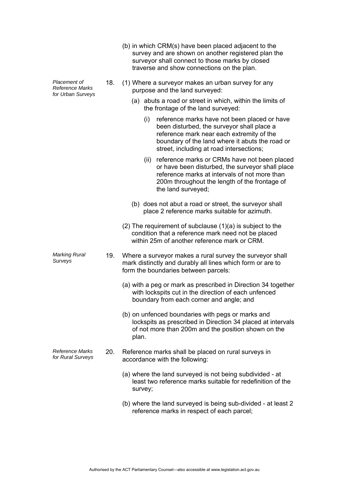|                                                             |     | (b) in which CRM(s) have been placed adjacent to the<br>survey and are shown on another registered plan the<br>surveyor shall connect to those marks by closed<br>traverse and show connections on the plan.                                  |
|-------------------------------------------------------------|-----|-----------------------------------------------------------------------------------------------------------------------------------------------------------------------------------------------------------------------------------------------|
| Placement of<br><b>Reference Marks</b><br>for Urban Surveys | 18. | (1) Where a surveyor makes an urban survey for any<br>purpose and the land surveyed:                                                                                                                                                          |
|                                                             |     | (a) abuts a road or street in which, within the limits of<br>the frontage of the land surveyed:                                                                                                                                               |
|                                                             |     | reference marks have not been placed or have<br>(i)<br>been disturbed, the surveyor shall place a<br>reference mark near each extremity of the<br>boundary of the land where it abuts the road or<br>street, including at road intersections; |
|                                                             |     | reference marks or CRMs have not been placed<br>(ii)<br>or have been disturbed, the surveyor shall place<br>reference marks at intervals of not more than<br>200m throughout the length of the frontage of<br>the land surveyed;              |
|                                                             |     | (b) does not abut a road or street, the surveyor shall<br>place 2 reference marks suitable for azimuth.                                                                                                                                       |
|                                                             |     | $(2)$ The requirement of subclause $(1)(a)$ is subject to the<br>condition that a reference mark need not be placed<br>within 25m of another reference mark or CRM.                                                                           |
| <b>Marking Rural</b><br>Surveys                             | 19. | Where a surveyor makes a rural survey the surveyor shall<br>mark distinctly and durably all lines which form or are to<br>form the boundaries between parcels:                                                                                |
|                                                             |     | (a) with a peg or mark as prescribed in Direction 34 together<br>with lockspits cut in the direction of each unfenced<br>boundary from each corner and angle; and                                                                             |
|                                                             |     | (b) on unfenced boundaries with pegs or marks and<br>lockspits as prescribed in Direction 34 placed at intervals<br>of not more than 200m and the position shown on the<br>plan.                                                              |
| <b>Reference Marks</b><br>for Rural Surveys                 | 20. | Reference marks shall be placed on rural surveys in<br>accordance with the following:                                                                                                                                                         |
|                                                             |     | (a) where the land surveyed is not being subdivided - at<br>least two reference marks suitable for redefinition of the<br>survey;                                                                                                             |
|                                                             |     | (b) where the land surveyed is being sub-divided - at least 2<br>reference marks in respect of each parcel;                                                                                                                                   |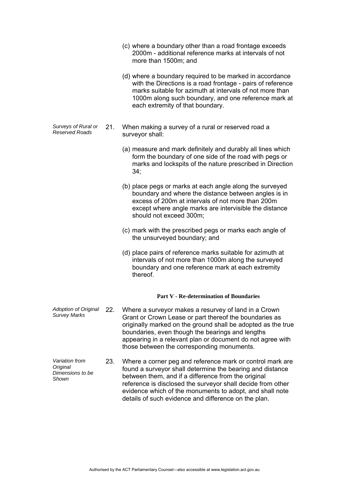- (c) where a boundary other than a road frontage exceeds 2000m - additional reference marks at intervals of not more than 1500m; and
- (d) where a boundary required to be marked in accordance with the Directions is a road frontage - pairs of reference marks suitable for azimuth at intervals of not more than 1000m along such boundary, and one reference mark at each extremity of that boundary.
- *Surveys of Rural or Reserved Roads* 21. When making a survey of a rural or reserved road a surveyor shall:
	- (a) measure and mark definitely and durably all lines which form the boundary of one side of the road with pegs or marks and lockspits of the nature prescribed in Direction 34;
	- (b) place pegs or marks at each angle along the surveyed boundary and where the distance between angles is in excess of 200m at intervals of not more than 200m except where angle marks are intervisible the distance should not exceed 300m;
	- (c) mark with the prescribed pegs or marks each angle of the unsurveyed boundary; and
	- (d) place pairs of reference marks suitable for azimuth at intervals of not more than 1000m along the surveyed boundary and one reference mark at each extremity thereof.

### **Part V - Re-determination of Boundaries**

- *Adoption of Original Survey Marks* 22. Where a surveyor makes a resurvey of land in a Crown Grant or Crown Lease or part thereof the boundaries as originally marked on the ground shall be adopted as the true boundaries, even though the bearings and lengths appearing in a relevant plan or document do not agree with those between the corresponding monuments.
- *Variation from Original Dimensions to be Shown*  23. Where a corner peg and reference mark or control mark are found a surveyor shall determine the bearing and distance between them, and if a difference from the original reference is disclosed the surveyor shall decide from other evidence which of the monuments to adopt, and shall note details of such evidence and difference on the plan.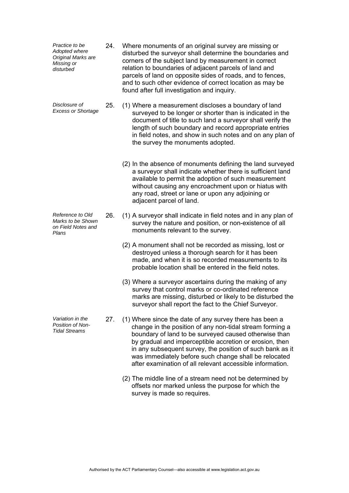| Practice to be<br>Adopted where<br>Original Marks are<br>Missing or<br>disturbed | 24. | Where monuments of an original survey are missing or<br>disturbed the surveyor shall determine the boundaries and<br>corners of the subject land by measurement in correct<br>relation to boundaries of adjacent parcels of land and<br>parcels of land on opposite sides of roads, and to fences,<br>and to such other evidence of correct location as may be<br>found after full investigation and inquiry.              |
|----------------------------------------------------------------------------------|-----|----------------------------------------------------------------------------------------------------------------------------------------------------------------------------------------------------------------------------------------------------------------------------------------------------------------------------------------------------------------------------------------------------------------------------|
| Disclosure of<br><b>Excess or Shortage</b>                                       | 25. | (1) Where a measurement discloses a boundary of land<br>surveyed to be longer or shorter than is indicated in the<br>document of title to such land a surveyor shall verify the<br>length of such boundary and record appropriate entries<br>in field notes, and show in such notes and on any plan of<br>the survey the monuments adopted.                                                                                |
|                                                                                  |     | (2) In the absence of monuments defining the land surveyed<br>a surveyor shall indicate whether there is sufficient land<br>available to permit the adoption of such measurement<br>without causing any encroachment upon or hiatus with<br>any road, street or lane or upon any adjoining or<br>adjacent parcel of land.                                                                                                  |
| Reference to Old<br>Marks to be Shown<br>on Field Notes and<br>Plans             | 26. | (1) A surveyor shall indicate in field notes and in any plan of<br>survey the nature and position, or non-existence of all<br>monuments relevant to the survey.                                                                                                                                                                                                                                                            |
|                                                                                  |     | (2) A monument shall not be recorded as missing, lost or<br>destroyed unless a thorough search for it has been<br>made, and when it is so recorded measurements to its<br>probable location shall be entered in the field notes.                                                                                                                                                                                           |
|                                                                                  |     | (3) Where a surveyor ascertains during the making of any<br>survey that control marks or co-ordinated reference<br>marks are missing, disturbed or likely to be disturbed the<br>surveyor shall report the fact to the Chief Surveyor.                                                                                                                                                                                     |
| Variation in the<br>Position of Non-<br><b>Tidal Streams</b>                     | 27. | (1) Where since the date of any survey there has been a<br>change in the position of any non-tidal stream forming a<br>boundary of land to be surveyed caused otherwise than<br>by gradual and imperceptible accretion or erosion, then<br>in any subsequent survey, the position of such bank as it<br>was immediately before such change shall be relocated<br>after examination of all relevant accessible information. |
|                                                                                  |     | (2) The middle line of a stream need not be determined by<br>offsets nor marked unless the purpose for which the<br>survey is made so requires.                                                                                                                                                                                                                                                                            |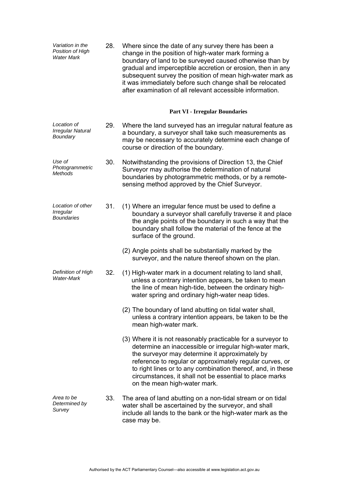| Variation in the<br>Position of High<br><b>Water Mark</b> | 28. | Where since the date of any survey there has been a<br>change in the position of high-water mark forming a<br>boundary of land to be surveyed caused otherwise than by<br>gradual and imperceptible accretion or erosion, then in any<br>subsequent survey the position of mean high-water mark as<br>it was immediately before such change shall be relocated<br>after examination of all relevant accessible information. |
|-----------------------------------------------------------|-----|-----------------------------------------------------------------------------------------------------------------------------------------------------------------------------------------------------------------------------------------------------------------------------------------------------------------------------------------------------------------------------------------------------------------------------|
|                                                           |     | <b>Part VI - Irregular Boundaries</b>                                                                                                                                                                                                                                                                                                                                                                                       |
| Location of<br><b>Irregular Natural</b><br>Boundary       | 29. | Where the land surveyed has an irregular natural feature as<br>a boundary, a surveyor shall take such measurements as<br>may be necessary to accurately determine each change of<br>course or direction of the boundary.                                                                                                                                                                                                    |
| Use of<br>Photogrammetric<br><b>Methods</b>               | 30. | Notwithstanding the provisions of Direction 13, the Chief<br>Surveyor may authorise the determination of natural<br>boundaries by photogrammetric methods, or by a remote-<br>sensing method approved by the Chief Surveyor.                                                                                                                                                                                                |
| Location of other<br>Irregular<br><b>Boundaries</b>       | 31. | (1) Where an irregular fence must be used to define a<br>boundary a surveyor shall carefully traverse it and place<br>the angle points of the boundary in such a way that the<br>boundary shall follow the material of the fence at the<br>surface of the ground.                                                                                                                                                           |
|                                                           |     | (2) Angle points shall be substantially marked by the<br>surveyor, and the nature thereof shown on the plan.                                                                                                                                                                                                                                                                                                                |
| Definition of High<br><b>Water-Mark</b>                   | 32. | (1) High-water mark in a document relating to land shall,<br>unless a contrary intention appears, be taken to mean<br>the line of mean high-tide, between the ordinary high-<br>water spring and ordinary high-water neap tides.                                                                                                                                                                                            |
|                                                           |     | (2) The boundary of land abutting on tidal water shall,<br>unless a contrary intention appears, be taken to be the<br>mean high-water mark.                                                                                                                                                                                                                                                                                 |
|                                                           |     | (3) Where it is not reasonably practicable for a surveyor to<br>determine an inaccessible or irregular high-water mark,<br>the surveyor may determine it approximately by<br>reference to regular or approximately regular curves, or<br>to right lines or to any combination thereof, and, in these<br>circumstances, it shall not be essential to place marks<br>on the mean high-water mark.                             |
| Area to be<br>Determined by<br>Survey                     | 33. | The area of land abutting on a non-tidal stream or on tidal<br>water shall be ascertained by the surveyor, and shall<br>include all lands to the bank or the high-water mark as the<br>case may be.                                                                                                                                                                                                                         |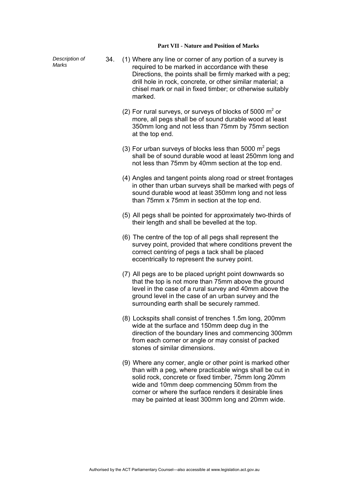#### **Part VII - Nature and Position of Marks**

*Description of* 

- *Description of* 34. (1) Where any line or corner of any portion of a survey is Marks required to be marked in accordance with these Directions, the points shall be firmly marked with a peg; drill hole in rock, concrete, or other similar material; a chisel mark or nail in fixed timber; or otherwise suitably marked.
	- (2) For rural surveys, or surveys of blocks of 5000  $m^2$  or more, all pegs shall be of sound durable wood at least 350mm long and not less than 75mm by 75mm section at the top end.
	- (3) For urban surveys of blocks less than 5000  $m^2$  pegs shall be of sound durable wood at least 250mm long and not less than 75mm by 40mm section at the top end.
		- (4) Angles and tangent points along road or street frontages in other than urban surveys shall be marked with pegs of sound durable wood at least 350mm long and not less than 75mm x 75mm in section at the top end.
		- (5) All pegs shall be pointed for approximately two-thirds of their length and shall be bevelled at the top.
		- (6) The centre of the top of all pegs shall represent the survey point, provided that where conditions prevent the correct centring of pegs a tack shall be placed eccentrically to represent the survey point.
		- (7) All pegs are to be placed upright point downwards so that the top is not more than 75mm above the ground level in the case of a rural survey and 40mm above the ground level in the case of an urban survey and the surrounding earth shall be securely rammed.
		- (8) Lockspits shall consist of trenches 1.5m long, 200mm wide at the surface and 150mm deep dug in the direction of the boundary lines and commencing 300mm from each corner or angle or may consist of packed stones of similar dimensions.
		- (9) Where any corner, angle or other point is marked other than with a peg, where practicable wings shall be cut in solid rock, concrete or fixed timber, 75mm long 20mm wide and 10mm deep commencing 50mm from the corner or where the surface renders it desirable lines may be painted at least 300mm long and 20mm wide.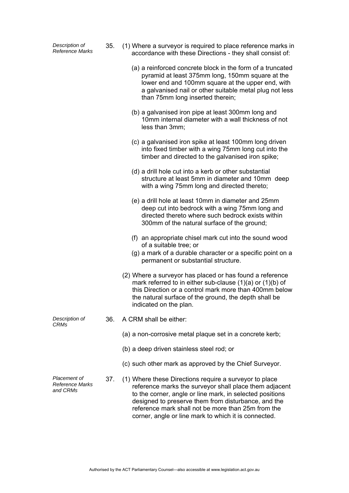*Description of* 

- *Reference Marks* 35. (1) Where a surveyor is required to place reference marks in accordance with these Directions - they shall consist of:
- (a) a reinforced concrete block in the form of a truncated pyramid at least 375mm long, 150mm square at the lower end and 100mm square at the upper end, with a galvanised nail or other suitable metal plug not less than 75mm long inserted therein; (b) a galvanised iron pipe at least 300mm long and 10mm internal diameter with a wall thickness of not less than 3mm; (c) a galvanised iron spike at least 100mm long driven into fixed timber with a wing 75mm long cut into the timber and directed to the galvanised iron spike; (d) a drill hole cut into a kerb or other substantial structure at least 5mm in diameter and 10mm deep with a wing 75mm long and directed thereto; (e) a drill hole at least 10mm in diameter and 25mm deep cut into bedrock with a wing 75mm long and directed thereto where such bedrock exists within 300mm of the natural surface of the ground; (f) an appropriate chisel mark cut into the sound wood of a suitable tree; or (g) a mark of a durable character or a specific point on a permanent or substantial structure. (2) Where a surveyor has placed or has found a reference mark referred to in either sub-clause (1)(a) or (1)(b) of this Direction or a control mark more than 400mm below the natural surface of the ground, the depth shall be indicated on the plan. *Description of CRMs*  36. A CRM shall be either: (a) a non-corrosive metal plaque set in a concrete kerb; (b) a deep driven stainless steel rod; or (c) such other mark as approved by the Chief Surveyor. *Placement of Reference Marks and CRMs*  37. (1) Where these Directions require a surveyor to place reference marks the surveyor shall place them adjacent to the corner, angle or line mark, in selected positions designed to preserve them from disturbance, and the reference mark shall not be more than 25m from the corner, angle or line mark to which it is connected.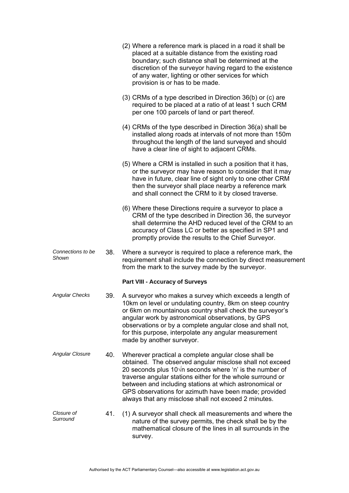|                            |     | (2) Where a reference mark is placed in a road it shall be<br>placed at a suitable distance from the existing road<br>boundary; such distance shall be determined at the<br>discretion of the surveyor having regard to the existence<br>of any water, lighting or other services for which<br>provision is or has to be made.                                                                                                |
|----------------------------|-----|-------------------------------------------------------------------------------------------------------------------------------------------------------------------------------------------------------------------------------------------------------------------------------------------------------------------------------------------------------------------------------------------------------------------------------|
|                            |     | (3) CRMs of a type described in Direction 36(b) or (c) are<br>required to be placed at a ratio of at least 1 such CRM<br>per one 100 parcels of land or part thereof.                                                                                                                                                                                                                                                         |
|                            |     | $(4)$ CRMs of the type described in Direction 36(a) shall be<br>installed along roads at intervals of not more than 150m<br>throughout the length of the land surveyed and should<br>have a clear line of sight to adjacent CRMs.                                                                                                                                                                                             |
|                            |     | (5) Where a CRM is installed in such a position that it has,<br>or the surveyor may have reason to consider that it may<br>have in future, clear line of sight only to one other CRM<br>then the surveyor shall place nearby a reference mark<br>and shall connect the CRM to it by closed traverse.                                                                                                                          |
|                            |     | (6) Where these Directions require a surveyor to place a<br>CRM of the type described in Direction 36, the surveyor<br>shall determine the AHD reduced level of the CRM to an<br>accuracy of Class LC or better as specified in SP1 and<br>promptly provide the results to the Chief Surveyor.                                                                                                                                |
| Connections to be<br>Shown | 38. | Where a surveyor is required to place a reference mark, the<br>requirement shall include the connection by direct measurement<br>from the mark to the survey made by the surveyor.                                                                                                                                                                                                                                            |
|                            |     | <b>Part VIII - Accuracy of Surveys</b>                                                                                                                                                                                                                                                                                                                                                                                        |
| <b>Angular Checks</b>      | 39. | A surveyor who makes a survey which exceeds a length of<br>10km on level or undulating country, 8km on steep country<br>or 6km on mountainous country shall check the surveyor's<br>angular work by astronomical observations, by GPS<br>observations or by a complete angular close and shall not,<br>for this purpose, interpolate any angular measurement<br>made by another surveyor.                                     |
| <b>Angular Closure</b>     | 40. | Wherever practical a complete angular close shall be<br>obtained. The observed angular misclose shall not exceed<br>20 seconds plus $10\sqrt{n}$ seconds where 'n' is the number of<br>traverse angular stations either for the whole surround or<br>between and including stations at which astronomical or<br>GPS observations for azimuth have been made; provided<br>always that any misclose shall not exceed 2 minutes. |
| Closure of<br>Surround     | 41. | (1) A surveyor shall check all measurements and where the<br>nature of the survey permits, the check shall be by the<br>mathematical closure of the lines in all surrounds in the<br>survey.                                                                                                                                                                                                                                  |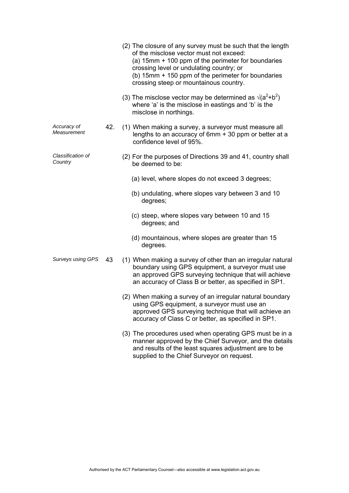|                              |     | (2) The closure of any survey must be such that the length<br>of the misclose vector must not exceed:<br>(a) 15mm + 100 ppm of the perimeter for boundaries<br>crossing level or undulating country; or<br>(b) 15mm + 150 ppm of the perimeter for boundaries<br>crossing steep or mountainous country. |
|------------------------------|-----|---------------------------------------------------------------------------------------------------------------------------------------------------------------------------------------------------------------------------------------------------------------------------------------------------------|
|                              |     | (3) The misclose vector may be determined as $\sqrt{(a^2+b^2)}$<br>where 'a' is the misclose in eastings and 'b' is the<br>misclose in northings.                                                                                                                                                       |
| Accuracy of<br>Measurement   | 42. | (1) When making a survey, a surveyor must measure all<br>lengths to an accuracy of 6mm + 30 ppm or better at a<br>confidence level of 95%.                                                                                                                                                              |
| Classification of<br>Country |     | (2) For the purposes of Directions 39 and 41, country shall<br>be deemed to be:                                                                                                                                                                                                                         |
|                              |     | (a) level, where slopes do not exceed 3 degrees;                                                                                                                                                                                                                                                        |
|                              |     | (b) undulating, where slopes vary between 3 and 10<br>degrees;                                                                                                                                                                                                                                          |
|                              |     | (c) steep, where slopes vary between 10 and 15<br>degrees; and                                                                                                                                                                                                                                          |
|                              |     | (d) mountainous, where slopes are greater than 15<br>degrees.                                                                                                                                                                                                                                           |
| Surveys using GPS            | 43  | (1) When making a survey of other than an irregular natural<br>boundary using GPS equipment, a surveyor must use<br>an approved GPS surveying technique that will achieve<br>an accuracy of Class B or better, as specified in SP1.                                                                     |
|                              |     | (2) When making a survey of an irregular natural boundary<br>using GPS equipment, a surveyor must use an<br>approved GPS surveying technique that will achieve an<br>accuracy of Class C or better, as specified in SP1.                                                                                |
|                              |     | (3) The procedures used when operating GPS must be in a<br>manner approved by the Chief Surveyor, and the details<br>and results of the least squares adjustment are to be<br>supplied to the Chief Surveyor on request.                                                                                |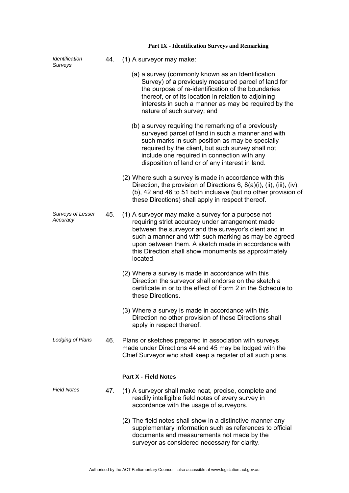| Identification<br>Surveys     | 44. | (1) A surveyor may make:                                                                                                                                                                                                                                                                                                                           |
|-------------------------------|-----|----------------------------------------------------------------------------------------------------------------------------------------------------------------------------------------------------------------------------------------------------------------------------------------------------------------------------------------------------|
|                               |     | (a) a survey (commonly known as an Identification<br>Survey) of a previously measured parcel of land for<br>the purpose of re-identification of the boundaries<br>thereof, or of its location in relation to adjoining<br>interests in such a manner as may be required by the<br>nature of such survey; and                                       |
|                               |     | (b) a survey requiring the remarking of a previously<br>surveyed parcel of land in such a manner and with<br>such marks in such position as may be specially<br>required by the client, but such survey shall not<br>include one required in connection with any<br>disposition of land or of any interest in land.                                |
|                               |     | (2) Where such a survey is made in accordance with this<br>Direction, the provision of Directions $6, 8(a)(i)$ , (ii), (iii), (iv),<br>(b), 42 and 46 to 51 both inclusive (but no other provision of<br>these Directions) shall apply in respect thereof.                                                                                         |
| Surveys of Lesser<br>Accuracy | 45. | (1) A surveyor may make a survey for a purpose not<br>requiring strict accuracy under arrangement made<br>between the surveyor and the surveyor's client and in<br>such a manner and with such marking as may be agreed<br>upon between them. A sketch made in accordance with<br>this Direction shall show monuments as approximately<br>located. |
|                               |     | (2) Where a survey is made in accordance with this<br>Direction the surveyor shall endorse on the sketch a<br>certificate in or to the effect of Form 2 in the Schedule to<br>these Directions.                                                                                                                                                    |
|                               |     | (3) Where a survey is made in accordance with this<br>Direction no other provision of these Directions shall<br>apply in respect thereof.                                                                                                                                                                                                          |
| Lodging of Plans              | 46. | Plans or sketches prepared in association with surveys<br>made under Directions 44 and 45 may be lodged with the<br>Chief Surveyor who shall keep a register of all such plans.                                                                                                                                                                    |
|                               |     | <b>Part X - Field Notes</b>                                                                                                                                                                                                                                                                                                                        |
| <b>Field Notes</b>            | 47. | (1) A surveyor shall make neat, precise, complete and<br>readily intelligible field notes of every survey in<br>accordance with the usage of surveyors.                                                                                                                                                                                            |
|                               |     | (2) The field notes shall show in a distinctive manner any<br>supplementary information such as references to official<br>documents and measurements not made by the<br>surveyor as considered necessary for clarity.                                                                                                                              |

# **Part IX - Identification Surveys and Remarking**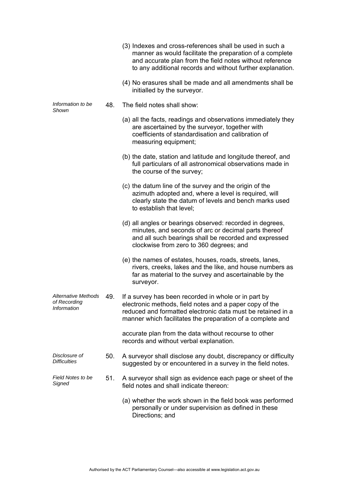|                                                    |     | (3) Indexes and cross-references shall be used in such a<br>manner as would facilitate the preparation of a complete<br>and accurate plan from the field notes without reference<br>to any additional records and without further explanation. |
|----------------------------------------------------|-----|------------------------------------------------------------------------------------------------------------------------------------------------------------------------------------------------------------------------------------------------|
|                                                    |     | (4) No erasures shall be made and all amendments shall be<br>initialled by the surveyor.                                                                                                                                                       |
| Information to be<br>Shown                         | 48. | The field notes shall show:                                                                                                                                                                                                                    |
|                                                    |     | (a) all the facts, readings and observations immediately they<br>are ascertained by the surveyor, together with<br>coefficients of standardisation and calibration of<br>measuring equipment;                                                  |
|                                                    |     | (b) the date, station and latitude and longitude thereof, and<br>full particulars of all astronomical observations made in<br>the course of the survey;                                                                                        |
|                                                    |     | (c) the datum line of the survey and the origin of the<br>azimuth adopted and, where a level is required, will<br>clearly state the datum of levels and bench marks used<br>to establish that level;                                           |
|                                                    |     | (d) all angles or bearings observed: recorded in degrees,<br>minutes, and seconds of arc or decimal parts thereof<br>and all such bearings shall be recorded and expressed<br>clockwise from zero to 360 degrees; and                          |
|                                                    |     | (e) the names of estates, houses, roads, streets, lanes,<br>rivers, creeks, lakes and the like, and house numbers as<br>far as material to the survey and ascertainable by the<br>surveyor.                                                    |
| Alternative Methods<br>of Recording<br>Information | 49. | If a survey has been recorded in whole or in part by<br>electronic methods, field notes and a paper copy of the<br>reduced and formatted electronic data must be retained in a<br>manner which facilitates the preparation of a complete and   |
|                                                    |     | accurate plan from the data without recourse to other<br>records and without verbal explanation.                                                                                                                                               |
| Disclosure of<br><b>Difficulties</b>               | 50. | A surveyor shall disclose any doubt, discrepancy or difficulty<br>suggested by or encountered in a survey in the field notes.                                                                                                                  |
| Field Notes to be<br>Signed                        | 51. | A surveyor shall sign as evidence each page or sheet of the<br>field notes and shall indicate thereon:                                                                                                                                         |
|                                                    |     | (a) whether the work shown in the field book was performed<br>personally or under supervision as defined in these<br>Directions; and                                                                                                           |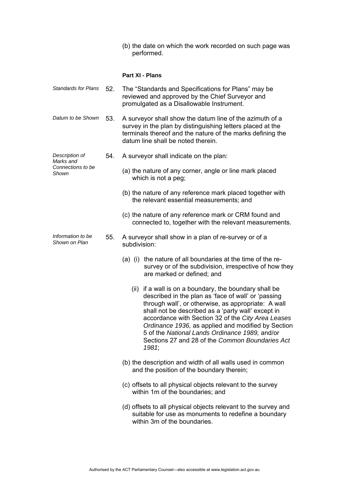(b) the date on which the work recorded on such page was performed.

## **Part XI - Plans**

| <b>Standards for Plans</b>         | 52. | The "Standards and Specifications for Plans" may be<br>reviewed and approved by the Chief Surveyor and<br>promulgated as a Disallowable Instrument.                                                                                                                                                                                                                                                                                                  |
|------------------------------------|-----|------------------------------------------------------------------------------------------------------------------------------------------------------------------------------------------------------------------------------------------------------------------------------------------------------------------------------------------------------------------------------------------------------------------------------------------------------|
| Datum to be Shown                  | 53. | A surveyor shall show the datum line of the azimuth of a<br>survey in the plan by distinguishing letters placed at the<br>terminals thereof and the nature of the marks defining the<br>datum line shall be noted therein.                                                                                                                                                                                                                           |
| Description of<br>Marks and        | 54. | A surveyor shall indicate on the plan:                                                                                                                                                                                                                                                                                                                                                                                                               |
| Connections to be<br>Shown         |     | (a) the nature of any corner, angle or line mark placed<br>which is not a peg;                                                                                                                                                                                                                                                                                                                                                                       |
|                                    |     | (b) the nature of any reference mark placed together with<br>the relevant essential measurements; and                                                                                                                                                                                                                                                                                                                                                |
|                                    |     | (c) the nature of any reference mark or CRM found and<br>connected to, together with the relevant measurements.                                                                                                                                                                                                                                                                                                                                      |
| Information to be<br>Shown on Plan | 55. | A surveyor shall show in a plan of re-survey or of a<br>subdivision:                                                                                                                                                                                                                                                                                                                                                                                 |
|                                    |     | the nature of all boundaries at the time of the re-<br>$(a)$ (i)<br>survey or of the subdivision, irrespective of how they<br>are marked or defined; and                                                                                                                                                                                                                                                                                             |
|                                    |     | (ii) if a wall is on a boundary, the boundary shall be<br>described in the plan as 'face of wall' or 'passing<br>through wall', or otherwise, as appropriate: A wall<br>shall not be described as a 'party wall' except in<br>accordance with Section 32 of the City Area Leases<br>Ordinance 1936, as applied and modified by Section<br>5 of the National Lands Ordinance 1989, and/or<br>Sections 27 and 28 of the Common Boundaries Act<br>1981; |
|                                    |     | (b) the description and width of all walls used in common<br>and the position of the boundary therein;                                                                                                                                                                                                                                                                                                                                               |
|                                    |     | (c) offsets to all physical objects relevant to the survey<br>within 1m of the boundaries; and                                                                                                                                                                                                                                                                                                                                                       |
|                                    |     | (d) offsets to all physical objects relevant to the survey and<br>suitable for use as monuments to redefine a boundary<br>within 3m of the boundaries.                                                                                                                                                                                                                                                                                               |
|                                    |     |                                                                                                                                                                                                                                                                                                                                                                                                                                                      |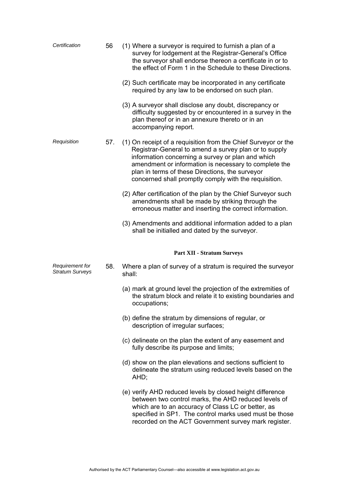| Certification                             | 56  | (1) Where a surveyor is required to furnish a plan of a<br>survey for lodgement at the Registrar-General's Office<br>the surveyor shall endorse thereon a certificate in or to<br>the effect of Form 1 in the Schedule to these Directions.<br>(2) Such certificate may be incorporated in any certificate<br>required by any law to be endorsed on such plan. |
|-------------------------------------------|-----|----------------------------------------------------------------------------------------------------------------------------------------------------------------------------------------------------------------------------------------------------------------------------------------------------------------------------------------------------------------|
|                                           |     | (3) A surveyor shall disclose any doubt, discrepancy or<br>difficulty suggested by or encountered in a survey in the<br>plan thereof or in an annexure thereto or in an<br>accompanying report.                                                                                                                                                                |
| Requisition                               | 57. | (1) On receipt of a requisition from the Chief Surveyor or the<br>Registrar-General to amend a survey plan or to supply<br>information concerning a survey or plan and which<br>amendment or information is necessary to complete the<br>plan in terms of these Directions, the surveyor<br>concerned shall promptly comply with the requisition.              |
|                                           |     | (2) After certification of the plan by the Chief Surveyor such<br>amendments shall be made by striking through the<br>erroneous matter and inserting the correct information.                                                                                                                                                                                  |
|                                           |     | (3) Amendments and additional information added to a plan<br>shall be initialled and dated by the surveyor.                                                                                                                                                                                                                                                    |
|                                           |     | <b>Part XII - Stratum Surveys</b>                                                                                                                                                                                                                                                                                                                              |
| Requirement for<br><b>Stratum Surveys</b> | 58. | Where a plan of survey of a stratum is required the surveyor<br>shall:                                                                                                                                                                                                                                                                                         |
|                                           |     | (a) mark at ground level the projection of the extremities of<br>the stratum block and relate it to existing boundaries and<br>occupations;                                                                                                                                                                                                                    |
|                                           |     | (b) define the stratum by dimensions of regular, or<br>description of irregular surfaces;                                                                                                                                                                                                                                                                      |
|                                           |     | (c) delineate on the plan the extent of any easement and<br>fully describe its purpose and limits;                                                                                                                                                                                                                                                             |
|                                           |     | (d) show on the plan elevations and sections sufficient to<br>delineate the stratum using reduced levels based on the<br>AHD;                                                                                                                                                                                                                                  |
|                                           |     | (e) verify AHD reduced levels by closed height difference<br>between two control marks, the AHD reduced levels of<br>which are to an accuracy of Class LC or better, as<br>specified in SP1. The control marks used must be those<br>recorded on the ACT Government survey mark register.                                                                      |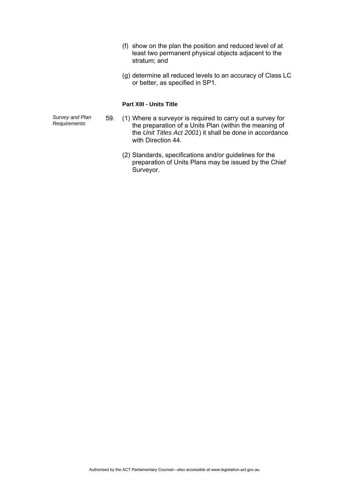- (f) show on the plan the position and reduced level of at least two permanent physical objects adjacent to the stratum; and
- (g) determine all reduced levels to an accuracy of Class LC or better, as specified in SP1.

### **Part XIII - Units Title**

*Survey and Plan* 

- *Requirements* 59. (1) Where a surveyor is required to carry out a survey for the preparation of a Units Plan (within the meaning of the *Unit Titles Act 2001*) it shall be done in accordance with Direction 44.
	- (2) Standards, specifications and/or guidelines for the preparation of Units Plans may be issued by the Chief Surveyor.